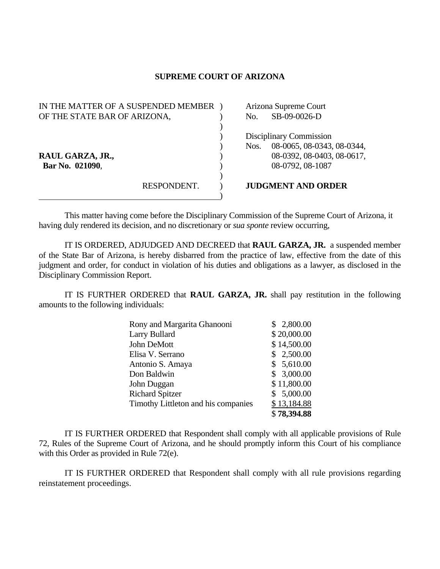## **SUPREME COURT OF ARIZONA**

| IN THE MATTER OF A SUSPENDED MEMBER |             | Arizona Supreme Court   |                            |
|-------------------------------------|-------------|-------------------------|----------------------------|
| OF THE STATE BAR OF ARIZONA,        |             | No.                     | SB-09-0026-D               |
|                                     |             |                         |                            |
|                                     |             | Disciplinary Commission |                            |
|                                     |             | Nos.                    | 08-0065, 08-0343, 08-0344, |
| RAUL GARZA, JR.,                    |             |                         | 08-0392, 08-0403, 08-0617, |
| Bar No. 021090,                     |             |                         | 08-0792, 08-1087           |
|                                     |             |                         |                            |
|                                     | RESPONDENT. |                         | <b>JUDGMENT AND ORDER</b>  |
|                                     |             |                         |                            |

This matter having come before the Disciplinary Commission of the Supreme Court of Arizona, it having duly rendered its decision, and no discretionary or *sua sponte* review occurring,

 IT IS ORDERED, ADJUDGED AND DECREED that **RAUL GARZA, JR.** a suspended member of the State Bar of Arizona, is hereby disbarred from the practice of law, effective from the date of this judgment and order, for conduct in violation of his duties and obligations as a lawyer, as disclosed in the Disciplinary Commission Report.

 IT IS FURTHER ORDERED that **RAUL GARZA, JR.** shall pay restitution in the following amounts to the following individuals:

| Rony and Margarita Ghanooni         | \$2,800.00  |
|-------------------------------------|-------------|
| Larry Bullard                       | \$20,000.00 |
| John DeMott                         | \$14,500.00 |
| Elisa V. Serrano                    | \$2,500.00  |
| Antonio S. Amaya                    | \$5,610.00  |
| Don Baldwin                         | \$3,000.00  |
| John Duggan                         | \$11,800.00 |
| <b>Richard Spitzer</b>              | \$5,000.00  |
| Timothy Littleton and his companies | \$13,184.88 |
|                                     | \$78,394.88 |

 IT IS FURTHER ORDERED that Respondent shall comply with all applicable provisions of Rule 72, Rules of the Supreme Court of Arizona, and he should promptly inform this Court of his compliance with this Order as provided in Rule 72(e).

 IT IS FURTHER ORDERED that Respondent shall comply with all rule provisions regarding reinstatement proceedings.